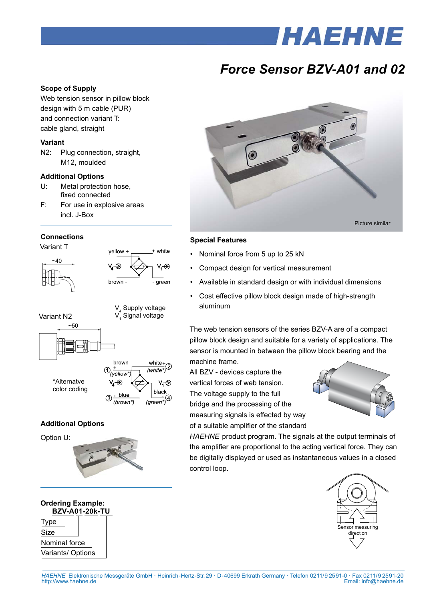# **IHAEHNE**

## *Force Sensor BZV-A01 and 02*

#### **Scope of Supply**

Web tension sensor in pillow block design with 5 m cable (PUR) and connection variant T: cable gland, straight

#### **Variant**

N2: Plug connection, straight, M12, moulded

#### **Additional Options**

- U: Metal protection hose, fixed connected
- F: For use in explosive areas incl. J-Box

#### **Connections**







#### **Additional Options**

 $-50$ 



#### **BZV-A01-20k-TU**  Type Size Nominal force Variants/ Options **Ordering Example:**



#### **Special Features**

- Nominal force from 5 up to 25 kN
- Compact design for vertical measurement
- Available in standard design or with individual dimensions
- Cost effective pillow block design made of high-strength aluminum

The web tension sensors of the series BZV-A are of a compact pillow block design and suitable for a variety of applications. The sensor is mounted in between the pillow block bearing and the machine frame.

All BZV - devices capture the vertical forces of web tension. The voltage supply to the full bridge and the processing of the measuring signals is effected by way of a suitable amplifier of the standard



*HAEHNE* product program. The signals at the output terminals of the amplifier are proportional to the acting vertical force. They can be digitally displayed or used as instantaneous values in a closed control loop.